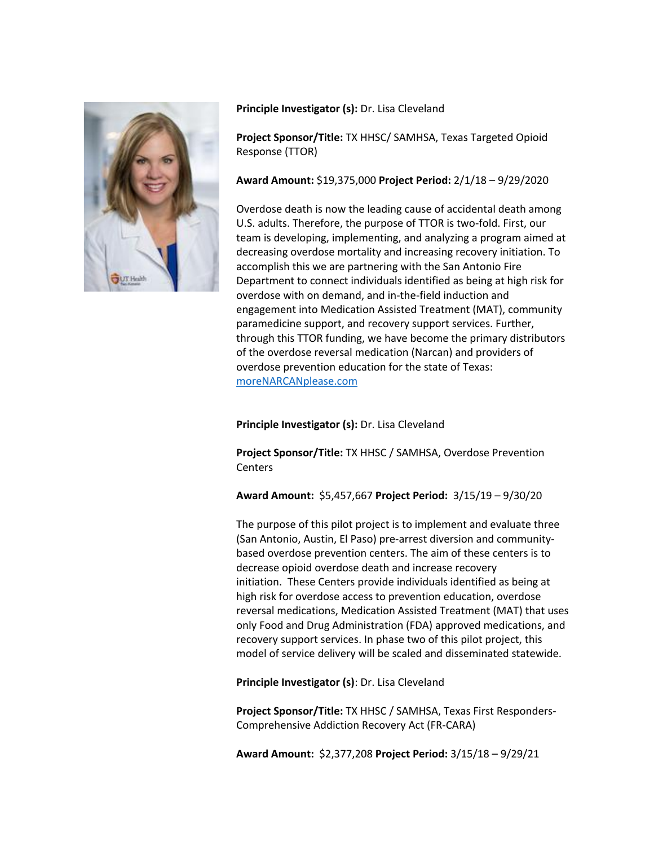

**Principle Investigator (s):** Dr. Lisa Cleveland

**Project Sponsor/Title:** TX HHSC/ SAMHSA, Texas Targeted Opioid Response (TTOR)

**Award Amount:** \$19,375,000 **Project Period:** 2/1/18 – 9/29/2020

Overdose death is now the leading cause of accidental death among U.S. adults. Therefore, the purpose of TTOR is two-fold. First, our team is developing, implementing, and analyzing a program aimed at decreasing overdose mortality and increasing recovery initiation. To accomplish this we are partnering with the San Antonio Fire Department to connect individuals identified as being at high risk for overdose with on demand, and in-the-field induction and engagement into Medication Assisted Treatment (MAT), community paramedicine support, and recovery support services. Further, through this TTOR funding, we have become the primary distributors of the overdose reversal medication (Narcan) and providers of overdose prevention education for the state of Texas: moreNARCANplease.com

**Principle Investigator (s):** Dr. Lisa Cleveland

**Project Sponsor/Title:** TX HHSC / SAMHSA, Overdose Prevention **Centers** 

**Award Amount:** \$5,457,667 **Project Period:** 3/15/19 – 9/30/20

The purpose of this pilot project is to implement and evaluate three (San Antonio, Austin, El Paso) pre-arrest diversion and communitybased overdose prevention centers. The aim of these centers is to decrease opioid overdose death and increase recovery initiation. These Centers provide individuals identified as being at high risk for overdose access to prevention education, overdose reversal medications, Medication Assisted Treatment (MAT) that uses only Food and Drug Administration (FDA) approved medications, and recovery support services. In phase two of this pilot project, this model of service delivery will be scaled and disseminated statewide.

**Principle Investigator (s)**: Dr. Lisa Cleveland

**Project Sponsor/Title:** TX HHSC / SAMHSA, Texas First Responders-Comprehensive Addiction Recovery Act (FR-CARA)

**Award Amount:** \$2,377,208 **Project Period:** 3/15/18 – 9/29/21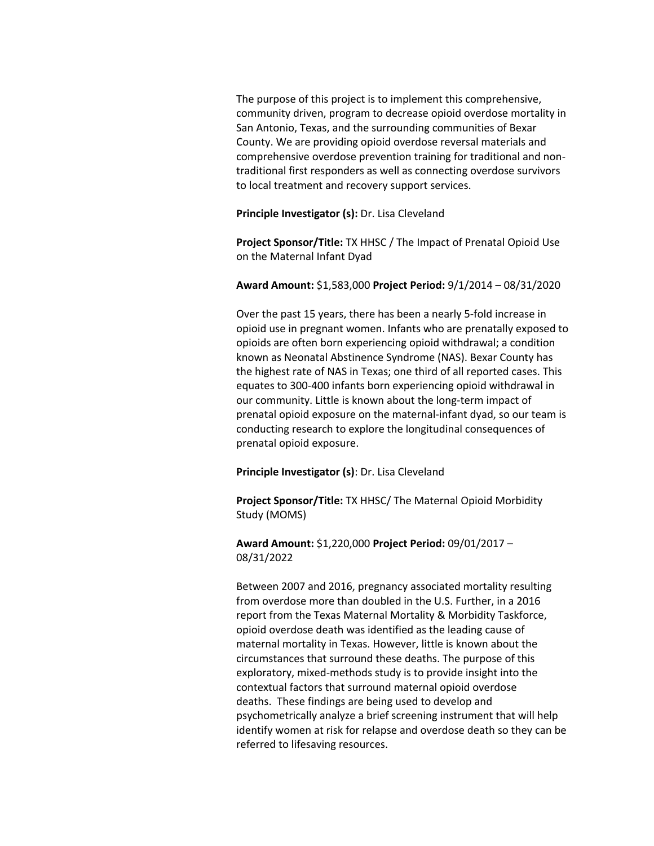The purpose of this project is to implement this comprehensive, community driven, program to decrease opioid overdose mortality in San Antonio, Texas, and the surrounding communities of Bexar County. We are providing opioid overdose reversal materials and comprehensive overdose prevention training for traditional and nontraditional first responders as well as connecting overdose survivors to local treatment and recovery support services.

**Principle Investigator (s):** Dr. Lisa Cleveland

**Project Sponsor/Title:** TX HHSC / The Impact of Prenatal Opioid Use on the Maternal Infant Dyad

**Award Amount:** \$1,583,000 **Project Period:** 9/1/2014 – 08/31/2020

Over the past 15 years, there has been a nearly 5-fold increase in opioid use in pregnant women. Infants who are prenatally exposed to opioids are often born experiencing opioid withdrawal; a condition known as Neonatal Abstinence Syndrome (NAS). Bexar County has the highest rate of NAS in Texas; one third of all reported cases. This equates to 300-400 infants born experiencing opioid withdrawal in our community. Little is known about the long-term impact of prenatal opioid exposure on the maternal-infant dyad, so our team is conducting research to explore the longitudinal consequences of prenatal opioid exposure.

**Principle Investigator (s)**: Dr. Lisa Cleveland

**Project Sponsor/Title:** TX HHSC/ The Maternal Opioid Morbidity Study (MOMS)

**Award Amount:** \$1,220,000 **Project Period:** 09/01/2017 – 08/31/2022

Between 2007 and 2016, pregnancy associated mortality resulting from overdose more than doubled in the U.S. Further, in a 2016 report from the Texas Maternal Mortality & Morbidity Taskforce, opioid overdose death was identified as the leading cause of maternal mortality in Texas. However, little is known about the circumstances that surround these deaths. The purpose of this exploratory, mixed-methods study is to provide insight into the contextual factors that surround maternal opioid overdose deaths. These findings are being used to develop and psychometrically analyze a brief screening instrument that will help identify women at risk for relapse and overdose death so they can be referred to lifesaving resources.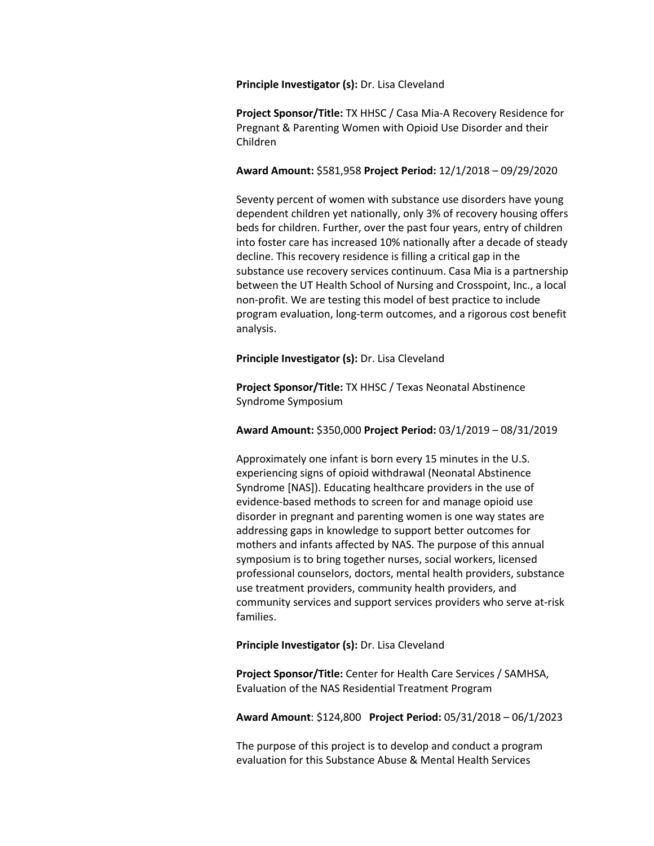## **Principle Investigator (s):** Dr. Lisa Cleveland

**Project Sponsor/Title:** TX HHSC / Casa Mia-A Recovery Residence for Pregnant & Parenting Women with Opioid Use Disorder and their Children

## **Award Amount:** \$581,958 **Project Period:** 12/1/2018 – 09/29/2020

Seventy percent of women with substance use disorders have young dependent children yet nationally, only 3% of recovery housing offers beds for children. Further, over the past four years, entry of children into foster care has increased 10% nationally after a decade of steady decline. This recovery residence is filling a critical gap in the substance use recovery services continuum. Casa Mia is a partnership between the UT Health School of Nursing and Crosspoint, Inc., a local non-profit. We are testing this model of best practice to include program evaluation, long-term outcomes, and a rigorous cost benefit analysis.

## **Principle Investigator (s):** Dr. Lisa Cleveland

**Project Sponsor/Title:** TX HHSC / Texas Neonatal Abstinence Syndrome Symposium

**Award Amount:** \$350,000 **Project Period:** 03/1/2019 – 08/31/2019

Approximately one infant is born every 15 minutes in the U.S. experiencing signs of opioid withdrawal (Neonatal Abstinence Syndrome [NAS]). Educating healthcare providers in the use of evidence-based methods to screen for and manage opioid use disorder in pregnant and parenting women is one way states are addressing gaps in knowledge to support better outcomes for mothers and infants affected by NAS. The purpose of this annual symposium is to bring together nurses, social workers, licensed professional counselors, doctors, mental health providers, substance use treatment providers, community health providers, and community services and support services providers who serve at-risk families.

## **Principle Investigator (s):** Dr. Lisa Cleveland

**Project Sponsor/Title:** Center for Health Care Services / SAMHSA, Evaluation of the NAS Residential Treatment Program

**Award Amount**: \$124,800 **Project Period:** 05/31/2018 – 06/1/2023

The purpose of this project is to develop and conduct a program evaluation for this Substance Abuse & Mental Health Services